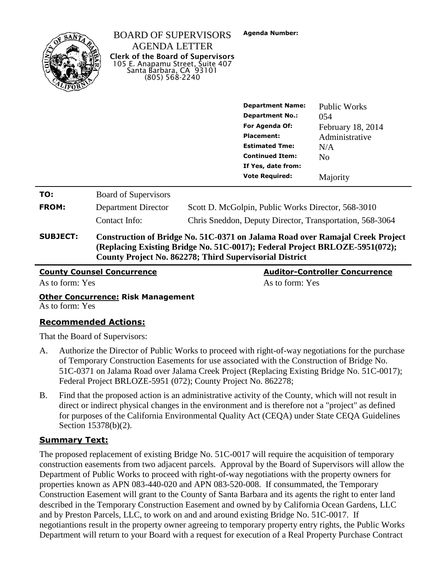

|                 | <b>Department Name:</b>                                                                                                                       | <b>Public Works</b>                                      |                   |  |
|-----------------|-----------------------------------------------------------------------------------------------------------------------------------------------|----------------------------------------------------------|-------------------|--|
|                 |                                                                                                                                               | <b>Department No.:</b>                                   | 054               |  |
|                 |                                                                                                                                               | For Agenda Of:                                           | February 18, 2014 |  |
|                 |                                                                                                                                               | Placement:                                               | Administrative    |  |
|                 |                                                                                                                                               | <b>Estimated Tme:</b>                                    | N/A               |  |
|                 |                                                                                                                                               | <b>Continued Item:</b>                                   | N <sub>0</sub>    |  |
|                 |                                                                                                                                               | If Yes, date from:                                       |                   |  |
|                 |                                                                                                                                               | <b>Vote Required:</b>                                    | Majority          |  |
| TO:             | <b>Board of Supervisors</b>                                                                                                                   |                                                          |                   |  |
| FROM:           | Department Director                                                                                                                           | Scott D. McGolpin, Public Works Director, 568-3010       |                   |  |
|                 | Contact Info:                                                                                                                                 | Chris Sneddon, Deputy Director, Transportation, 568-3064 |                   |  |
| <b>SUBJECT:</b> | Construction of Bridge No. 51C-0371 on Jalama Road over Ramajal Creek Project                                                                 |                                                          |                   |  |
|                 | (Replacing Existing Bridge No. 51C-0017); Federal Project BRLOZE-5951(072);<br><b>County Project No. 862278; Third Supervisorial District</b> |                                                          |                   |  |

**Agenda Number:**

**County Counsel Concurrence Auditor-Controller Concurrence** As to form: Yes As to form: Yes As to form: Yes As to form: Yes

#### **Other Concurrence: Risk Management** As to form: Yes

### **Recommended Actions:**

That the Board of Supervisors:

- A. Authorize the Director of Public Works to proceed with right-of-way negotiations for the purchase of Temporary Construction Easements for use associated with the Construction of Bridge No. 51C-0371 on Jalama Road over Jalama Creek Project (Replacing Existing Bridge No. 51C-0017); Federal Project BRLOZE-5951 (072); County Project No. 862278;
- B. Find that the proposed action is an administrative activity of the County, which will not result in direct or indirect physical changes in the environment and is therefore not a "project" as defined for purposes of the California Environmental Quality Act (CEQA) under State CEQA Guidelines Section 15378(b)(2).

### **Summary Text:**

The proposed replacement of existing Bridge No. 51C-0017 will require the acquisition of temporary construction easements from two adjacent parcels. Approval by the Board of Supervisors will allow the Department of Public Works to proceed with right-of-way negotiations with the property owners for properties known as APN 083-440-020 and APN 083-520-008. If consummated, the Temporary Construction Easement will grant to the County of Santa Barbara and its agents the right to enter land described in the Temporary Construction Easement and owned by by California Ocean Gardens, LLC and by Preston Parcels, LLC, to work on and and around existing Bridge No. 51C-0017. If negotiantions result in the property owner agreeing to temporary property entry rights, the Public Works Department will return to your Board with a request for execution of a Real Property Purchase Contract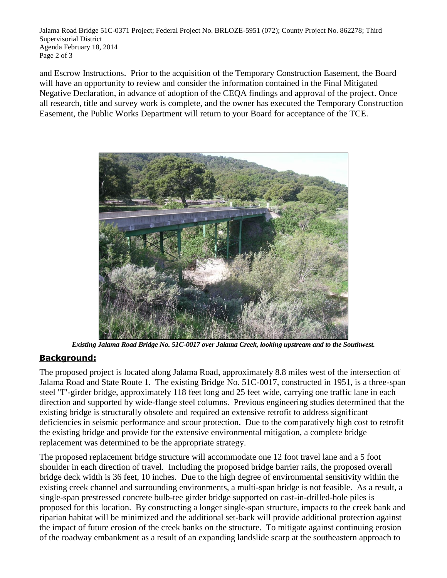Jalama Road Bridge 51C-0371 Project; Federal Project No. BRLOZE-5951 (072); County Project No. 862278; Third Supervisorial District Agenda February 18, 2014 Page 2 of 3

and Escrow Instructions. Prior to the acquisition of the Temporary Construction Easement, the Board will have an opportunity to review and consider the information contained in the Final Mitigated Negative Declaration, in advance of adoption of the CEQA findings and approval of the project. Once all research, title and survey work is complete, and the owner has executed the Temporary Construction Easement, the Public Works Department will return to your Board for acceptance of the TCE.



*Existing Jalama Road Bridge No. 51C-0017 over Jalama Creek, looking upstream and to the Southwest.*

### **Background:**

The proposed project is located along Jalama Road, approximately 8.8 miles west of the intersection of Jalama Road and State Route 1. The existing Bridge No. 51C-0017, constructed in 1951, is a three-span steel "I"-girder bridge, approximately 118 feet long and 25 feet wide, carrying one traffic lane in each direction and supported by wide-flange steel columns. Previous engineering studies determined that the existing bridge is structurally obsolete and required an extensive retrofit to address significant deficiencies in seismic performance and scour protection. Due to the comparatively high cost to retrofit the existing bridge and provide for the extensive environmental mitigation, a complete bridge replacement was determined to be the appropriate strategy.

The proposed replacement bridge structure will accommodate one 12 foot travel lane and a 5 foot shoulder in each direction of travel. Including the proposed bridge barrier rails, the proposed overall bridge deck width is 36 feet, 10 inches. Due to the high degree of environmental sensitivity within the existing creek channel and surrounding environments, a multi-span bridge is not feasible. As a result, a single-span prestressed concrete bulb-tee girder bridge supported on cast-in-drilled-hole piles is proposed for this location. By constructing a longer single-span structure, impacts to the creek bank and riparian habitat will be minimized and the additional set-back will provide additional protection against the impact of future erosion of the creek banks on the structure. To mitigate against continuing erosion of the roadway embankment as a result of an expanding landslide scarp at the southeastern approach to